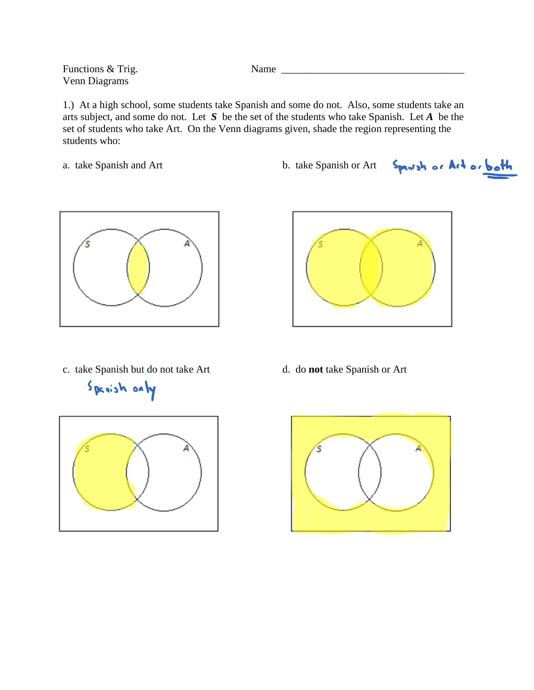Functions & Trig. Mame Venn Diagrams

1.) At a high school, some students take Spanish and some do not. Also, some students take an arts subject, and some do not. Let *S* be the set of the students who take Spanish. Let *A* be the set of students who take Art. On the Venn diagrams given, shade the region representing the students who:

a. take Spanish and Art b. take Spanish or Art Spanish or Art or both









c. take Spanish but do not take Art d. do **not** take Spanish or Art

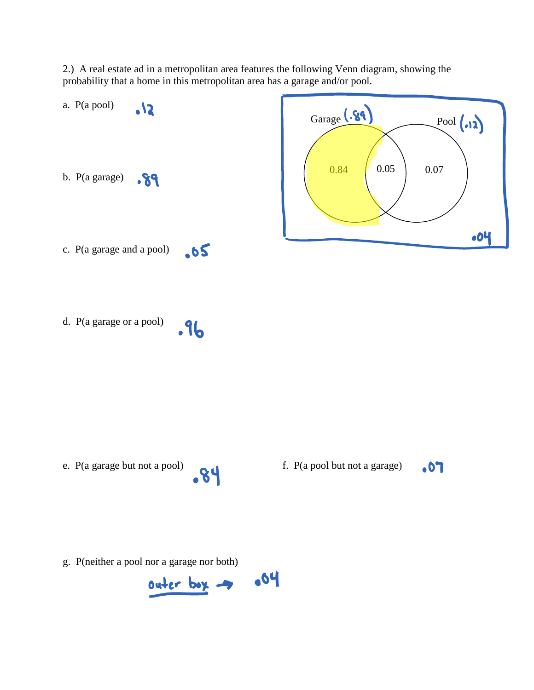2.) A real estate ad in a metropolitan area features the following Venn diagram, showing the probability that a home in this metropolitan area has a garage and/or pool.



g. P(neither a pool nor a garage nor both)

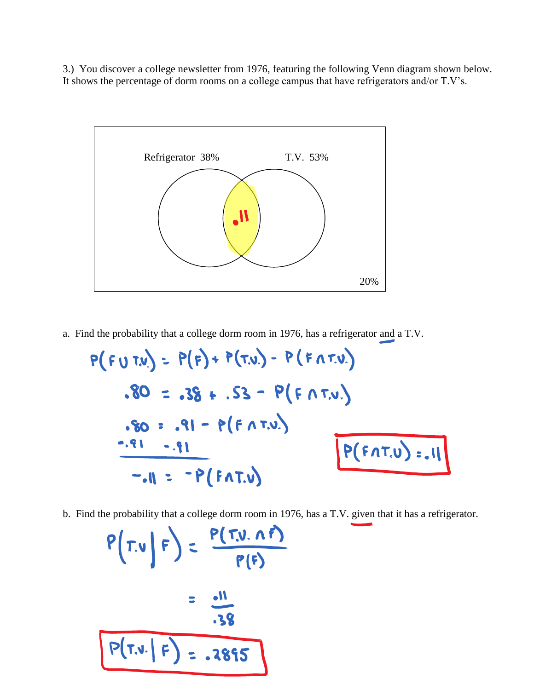3.) You discover a college newsletter from 1976, featuring the following Venn diagram shown below. It shows the percentage of dorm rooms on a college campus that have refrigerators and/or T.V's.



a. Find the probability that a college dorm room in 1976, has a refrigerator and a T.V.

$$
P(FU T.V.) = P(F) + P(T.V.) - P(FAT.V.)
$$
  
\n
$$
.80 = .38 + .53 - P(FAT.V.)
$$
  
\n
$$
.80 = .91 - P(FAT.V.)
$$
  
\n
$$
-.91 = -P(FAT.V)
$$
  
\n
$$
= .11 = -P(FAT.V)
$$

b. Find the probability that a college dorm room in 1976, has a T.V. given that it has a refrigerator.

$$
P(T.v | F) = \frac{P(T.v. \land F)}{P(F)}
$$
  
= 
$$
\frac{.11}{.38}
$$
  

$$
P(T.v. | F) = .2895
$$